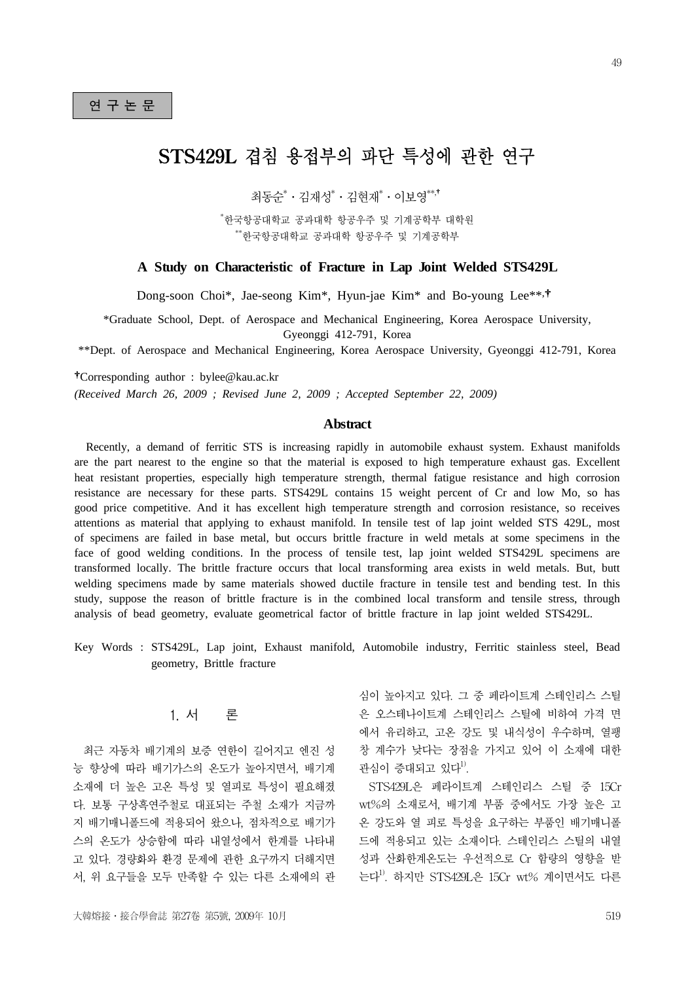# STS429L 겹침 용접부의 파단 특성에 관한 연구

최동순\*ㆍ김재성\*ㆍ김현재\*ㆍ이보영\*\*,†

\* 한국항공대학교 공과대학 항공우주 및 기계공학부 대학원 \*\*한국항공대학교 공과대학 항공우주 및 기계공학부

#### **A Study on Characteristic of Fracture in Lap Joint Welded STS429L**

Dong-soon Choi\*, Jae-seong Kim\*, Hyun-jae Kim\* and Bo-young Lee\*\*, †

\*Graduate School, Dept. of Aerospace and Mechanical Engineering, Korea Aerospace University, Gyeonggi 412-791, Korea

\*\*Dept. of Aerospace and Mechanical Engineering, Korea Aerospace University, Gyeonggi 412-791, Korea

†Corresponding author : bylee@kau.ac.kr

*(Received March 26, 2009 ; Revised June 2, 2009 ; Accepted September 22, 2009)*

#### **Abstract**

 Recently, a demand of ferritic STS is increasing rapidly in automobile exhaust system. Exhaust manifolds are the part nearest to the engine so that the material is exposed to high temperature exhaust gas. Excellent heat resistant properties, especially high temperature strength, thermal fatigue resistance and high corrosion resistance are necessary for these parts. STS429L contains 15 weight percent of Cr and low Mo, so has good price competitive. And it has excellent high temperature strength and corrosion resistance, so receives attentions as material that applying to exhaust manifold. In tensile test of lap joint welded STS 429L, most of specimens are failed in base metal, but occurs brittle fracture in weld metals at some specimens in the face of good welding conditions. In the process of tensile test, lap joint welded STS429L specimens are transformed locally. The brittle fracture occurs that local transforming area exists in weld metals. But, butt welding specimens made by same materials showed ductile fracture in tensile test and bending test. In this study, suppose the reason of brittle fracture is in the combined local transform and tensile stress, through analysis of bead geometry, evaluate geometrical factor of brittle fracture in lap joint welded STS429L.

Key Words : STS429L, Lap joint, Exhaust manifold, Automobile industry, Ferritic stainless steel, Bead geometry, Brittle fracture

## 1. 서 론

최근 자동차 배기계의 보증 연한이 길어지고 엔진 성 능 향상에 따라 배기가스의 온도가 높아지면서, 배기계 소재에 더 높은 고온 특성 및 열피로 특성이 필요해졌 다. 보통 구상흑연주철로 대표되는 주철 소재가 지금까 지 배기매니폴드에 적용되어 왔으나, 점차적으로 배기가 스의 온도가 상승함에 따라 내열성에서 한계를 나타내 고 있다. 경량화와 환경 문제에 관한 요구까지 더해지면 서, 위 요구들을 모두 만족할 수 있는 다른 소재에의 관 심이 높아지고 있다. 그 중 페라이트계 스테인리스 스틸 은 오스테나이트계 스테인리스 스틸에 비하여 가격 면 에서 유리하고, 고온 강도 및 내식성이 우수하며, 열팽 창 계수가 낮다는 장점을 가지고 있어 이 소재에 대한 관심이 증대되고 있다<sup> $1$ </sup>.

STS429L은 페라이트계 스테인리스 스틸 중 15Cr wt%의 소재로서, 배기계 부품 중에서도 가장 높은 고 온 강도와 열 피로 특성을 요구하는 부품인 배기매니폴 드에 적용되고 있는 소재이다. 스테인리스 스틸의 내열 성과 산화한계온도는 우선적으로 Cr 함량의 영향을 받 는다1). 하지만 STS429L은 15Cr wt% 계이면서도 다른

49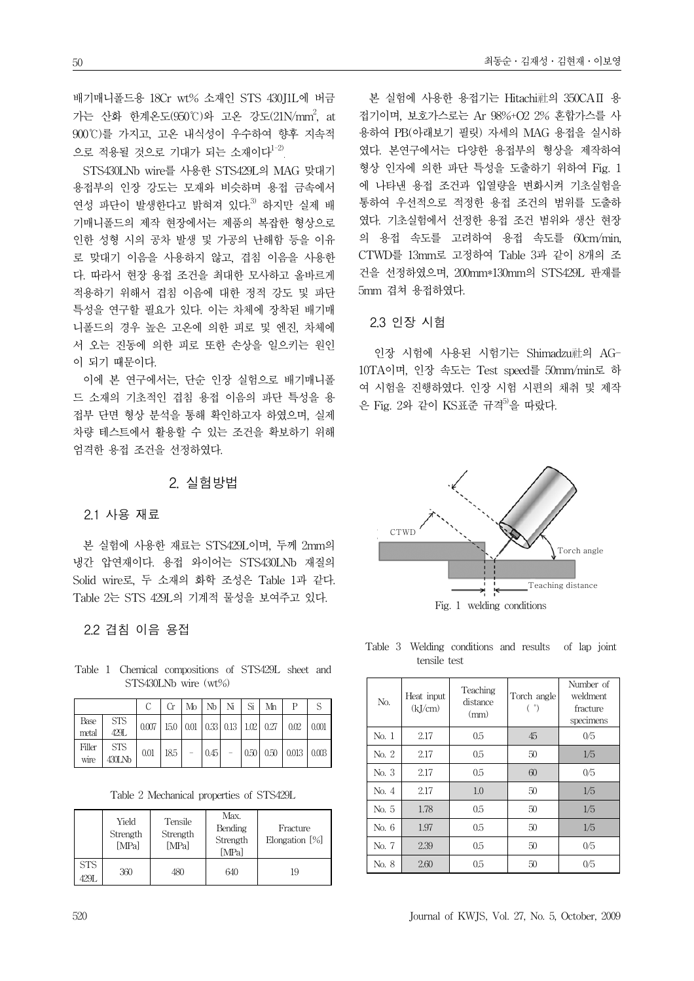배기매니폴드용 18Cr wt% 소재인 STS 430J1L에 버금 가는 산화 한계온도(950℃)와 고온 강도(21N/mm<sup>2</sup>, at 900℃)를 가지고, 고온 내식성이 우수하여 향후 지속적 으로 적용될 것으로 기대가 되는 소재이다<sup>1-2)</sup>

STS430LNb wire를 사용한 STS429L의 MAG 맞대기 용접부의 인장 강도는 모재와 비슷하며 용접 금속에서 연성 파단이 발생한다고 밝혀져 있다.<sup>3)</sup> 하지만 실제 배 기매니폴드의 제작 현장에서는 제품의 복잡한 형상으로 인한 성형 시의 공차 발생 및 가공의 난해함 등을 이유 로 맞대기 이음을 사용하지 않고, 겹침 이음을 사용한 다. 따라서 현장 용접 조건을 최대한 모사하고 올바르게 적용하기 위해서 겹침 이음에 대한 정적 강도 및 파단 특성을 연구할 필요가 있다. 이는 차체에 장착된 배기매 니폴드의 경우 높은 고온에 의한 피로 및 엔진, 차체에 서 오는 진동에 의한 피로 또한 손상을 일으키는 원인 이 되기 때문이다.

이에 본 연구에서는, 단순 인장 실험으로 배기매니폴 드 소재의 기초적인 겹침 용접 이음의 파단 특성을 용 접부 단면 형상 분석을 통해 확인하고자 하였으며, 실제 차량 테스트에서 활용할 수 있는 조건을 확보하기 위해 엄격한 용접 조건을 선정하였다.

## 2. 실험방법

## 2.1 사용 재료

본 실험에 사용한 재료는 STS429L이며, 두께 2mm의 냉간 압연재이다. 용접 와이어는 STS430LNb 재질의 Solid wire로, 두 소재의 화학 조성은 Table 1과 같다. Table 2는 STS 429L의 기계적 물성을 보여주고 있다.

## 2.2 겹침 이음 용접

Table 1 Chemical compositions of STS429L sheet and STS430LNb wire (wt%)

|                |                    |      |  |  | $Cr \mid M_D \mid N_D \mid N_i \mid S_i \mid M_D$ |                                                                  |  |
|----------------|--------------------|------|--|--|---------------------------------------------------|------------------------------------------------------------------|--|
| Base<br>metal  | <b>STS</b><br>429L |      |  |  |                                                   | $0.007$   15.0   0.01   0.33   0.13   1.02   0.27   0.02   0.001 |  |
| Filler<br>wire | STS<br>$430$ LNb   | 0.01 |  |  |                                                   | $ 18.5  -  0.45  -  0.50  0.50   0.013   0.003$                  |  |

Table 2 Mechanical properties of STS429L

|                    | Yield<br>Strength<br>[MPa] | Tensile<br>Strength<br>[MPa] | Max.<br>Bending<br>Strength<br>[MPa] | Fracture<br>Elongation $[\%]$ |  |
|--------------------|----------------------------|------------------------------|--------------------------------------|-------------------------------|--|
| <b>STS</b><br>429L | 360                        | 480                          | 640                                  | 19                            |  |

본 실험에 사용한 용접기는 Hitachi社의 350CAⅡ 용 접기이며, 보호가스로는 Ar 98%+O2 2% 혼합가스를 사 용하여 PB(아래보기 필릿) 자세의 MAG 용접을 실시하 였다. 본연구에서는 다양한 용접부의 형상을 제작하여 형상 인자에 의한 파단 특성을 도출하기 위하여 Fig. 1 에 나타낸 용접 조건과 입열량을 변화시켜 기초실험을 통하여 우선적으로 적정한 용접 조건의 범위를 도출하 였다. 기초실험에서 선정한 용접 조건 범위와 생산 현장 의 용접 속도를 고려하여 용접 속도를 60cm/min, CTWD를 13mm로 고정하여 Table 3과 같이 8개의 조 건을 선정하였으며, 200mm\*130mm의 STS429L 판재를 5mm 겹쳐 용접하였다.

## 2.3 인장 시험

인장 시험에 사용된 시험기는 Shimadzu社의 AG-10TA이며, 인장 속도는 Test speed를 50mm/min로 하 여 시험을 진행하였다. 인장 시험 시편의 채취 및 제작 은 Fig. 2와 같이 KS표준 규격<sup>5)</sup>을 따랐다.



Table 3 Welding conditions and results of lap joint tensile test

| N <sub>O</sub> | Heat input<br>(kJ/cm) | Teaching<br>distance<br>(mm) | Torch angle<br>°) | Number of<br>weldment.<br>fracture<br>specimens |
|----------------|-----------------------|------------------------------|-------------------|-------------------------------------------------|
| No. 1          | 2.17                  | 0.5                          | 45                | 0/5                                             |
| No. 2          | 2.17                  | 0.5                          | 50                | 1/5                                             |
| No. 3          | 2.17                  | 0.5                          | 60                | 0/5                                             |
| No. 4          | 2.17                  | 1.0                          | 50                | 1/5                                             |
| No. 5          | 1.78                  | 0.5                          | 50                | 1/5                                             |
| No. 6          | 1.97                  | 0.5                          | 50                | 1/5                                             |
| No. 7          | 2.39                  | 0.5                          | 50                | 0/5                                             |
| No. 8          | 2.60                  | 0.5                          | 50                | 0/5                                             |

50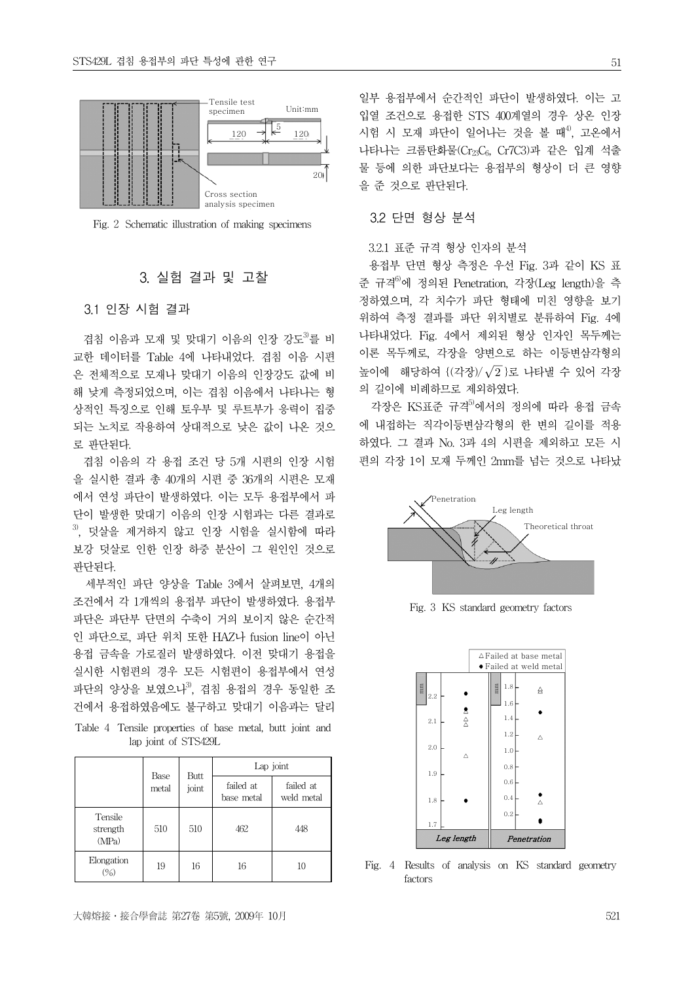

Fig. 2 Schematic illustration of making specimens

## 3. 실험 결과 및 고찰

## 3.1 인장 시험 결과

겹침 이음과 모재 및 맞대기 이음의 인장 강도<sup>3)</sup>를 비 교한 데이터를 Table 4에 나타내었다. 겹침 이음 시편 은 전체적으로 모재나 맞대기 이음의 인장강도 값에 비 해 낮게 측정되었으며, 이는 겹침 이음에서 나타나는 형 상적인 특징으로 인해 토우부 및 루트부가 응력이 집중 되는 노치로 작용하여 상대적으로 낮은 값이 나온 것으 로 판단된다.

겹침 이음의 각 용접 조건 당 5개 시편의 인장 시험 을 실시한 결과 총 40개의 시편 중 36개의 시편은 모재 에서 연성 파단이 발생하였다. 이는 모두 용접부에서 파 단이 발생한 맞대기 이음의 인장 시험과는 다른 결과로  $^{3)}$ , 덧살을 제거하지 않고 인장 시험을 실시함에 따라 보강 덧살로 인한 인장 하중 분산이 그 원인인 것으로 판단된다.

세부적인 파단 양상을 Table 3에서 살펴보면, 4개의 조건에서 각 1개씩의 용접부 파단이 발생하였다. 용접부 파단은 파단부 단면의 수축이 거의 보이지 않은 순간적 인 파단으로, 파단 위치 또한 HAZ나 fusion line이 아닌 용접 금속을 가로질러 발생하였다. 이전 맞대기 용접을 실시한 시험편의 경우 모든 시험편이 용접부에서 연성 파단의 양상을 보였으나<sup>3)</sup>, 겹침 용접의 경우 동일한 조 건에서 용접하였음에도 불구하고 맞대기 이음과는 달리

Table 4 Tensile properties of base metal, butt joint and lap joint of STS429L

|                              |               | Butt  | Lap joint               |                         |  |  |
|------------------------------|---------------|-------|-------------------------|-------------------------|--|--|
|                              | Base<br>metal | joint | failed at<br>base metal | failed at<br>weld metal |  |  |
| Tensile<br>strength<br>(MPa) | 510           | 510   | 462                     | 448                     |  |  |
| Elongation<br>$(\%)$         | 19            | 16    | 16                      | 10                      |  |  |

일부 용접부에서 순간적인 파단이 발생하였다. 이는 고 입열 조건으로 용접한 STS 400계열의 경우 상온 인장 시험 시 모재 파단이 일어나는 것을 볼 때<sup>4)</sup>, 고온에서 나타나는 크롬탄화물(Cr<sub>23</sub>C<sub>6</sub>, Cr7C3)과 같은 입계 석출 물 등에 의한 파단보다는 용접부의 형상이 더 큰 영향 을 준 것으로 판단된다.

## 3.2 단면 형상 분석

## 3.2.1 표준 규격 형상 인자의 분석

용접부 단면 형상 측정은 우선 Fig. 3과 같이 KS 표 준 규격6)에 정의된 Penetration, 각장(Leg length)을 측 정하였으며, 각 치수가 파단 형태에 미친 영향을 보기 위하여 측정 결과를 파단 위치별로 분류하여 Fig. 4에 나타내었다. Fig. 4에서 제외된 형상 인자인 목두께는 이론 목두께로, 각장을 양변으로 하는 이등변삼각형의 높이에 해당하여 {(각장)/ $\sqrt{2}$ }로 나타낼 수 있어 각장 의 길이에 비례하므로 제외하였다.

각장은 KS표준 규격<sup>5)</sup>에서의 정의에 따라 용접 금속 에 내접하는 직각이등변삼각형의 한 변의 길이를 적용 하였다. 그 결과 No. 3과 4의 시편을 제외하고 모든 시 편의 각장 1이 모재 두께인 2mm를 넘는 것으로 나타났



Fig. 3 KS standard geometry factors



Fig. 4 Results of analysis on KS standard geometry factors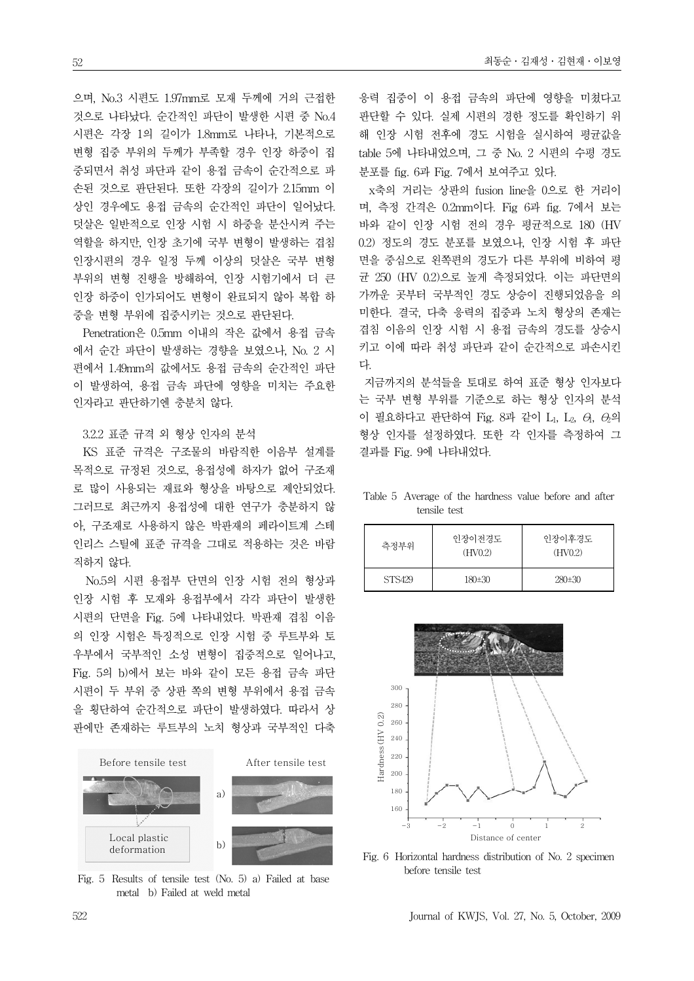으며, No.3 시편도 1.97mm로 모재 두께에 거의 근접한 것으로 나타났다. 순간적인 파단이 발생한 시편 중 No.4 시편은 각장 1의 길이가 1.8mm로 나타나, 기본적으로 변형 집중 부위의 두께가 부족할 경우 인장 하중이 집 중되면서 취성 파단과 같이 용접 금속이 순간적으로 파 손된 것으로 판단된다. 또한 각장의 길이가 2.15mm 이 상인 경우에도 용접 금속의 순간적인 파단이 일어났다. 덧살은 일반적으로 인장 시험 시 하중을 분산시켜 주는 역할을 하지만, 인장 초기에 국부 변형이 발생하는 겹침 인장시편의 경우 일정 두께 이상의 덧살은 국부 변형 부위의 변형 진행을 방해하여, 인장 시험기에서 더 큰 인장 하중이 인가되어도 변형이 완료되지 않아 복합 하 중을 변형 부위에 집중시키는 것으로 판단된다.

Penetration은 0.5mm 이내의 작은 값에서 용접 금속 에서 순간 파단이 발생하는 경향을 보였으나, No. 2 시 편에서 1.49mm의 값에서도 용접 금속의 순간적인 파단 이 발생하여, 용접 금속 파단에 영향을 미치는 주요한 인자라고 판단하기엔 충분치 않다.

#### 3.2.2 표준 규격 외 형상 인자의 분석

KS 표준 규격은 구조물의 바람직한 이음부 설계를 목적으로 규정된 것으로, 용접성에 하자가 없어 구조재 로 많이 사용되는 재료와 형상을 바탕으로 제안되었다. 그러므로 최근까지 용접성에 대한 연구가 충분하지 않 아, 구조재로 사용하지 않은 박판재의 페라이트계 스테 인리스 스틸에 표준 규격을 그대로 적용하는 것은 바람 직하지 않다.

No.5의 시편 용접부 단면의 인장 시험 전의 형상과 인장 시험 후 모재와 용접부에서 각각 파단이 발생한 시편의 단면을 Fig. 5에 나타내었다. 박판재 겹침 이음 의 인장 시험은 특징적으로 인장 시험 중 루트부와 토 우부에서 국부적인 소성 변형이 집중적으로 일어나고, Fig. 5의 b)에서 보는 바와 같이 모든 용접 금속 파단 시편이 두 부위 중 상판 쪽의 변형 부위에서 용접 금속 을 횡단하여 순간적으로 파단이 발생하였다. 따라서 상 판에만 존재하는 루트부의 노치 형상과 국부적인 다축



Fig. 5 Results of tensile test (No. 5) a) Failed at base metal b) Failed at weld metal

응력 집중이 이 용접 금속의 파단에 영향을 미쳤다고 판단할 수 있다. 실제 시편의 경한 정도를 확인하기 위 해 인장 시험 전후에 경도 시험을 실시하여 평균값을 table 5에 나타내었으며, 그 중 No. 2 시편의 수평 경도 분포를 fig. 6과 Fig. 7에서 보여주고 있다.

x축의 거리는 상판의 fusion line을 0으로 한 거리이 며, 측정 간격은 0.2mm이다. Fig 6과 fig. 7에서 보는 바와 같이 인장 시험 전의 경우 평균적으로 180 (HV 0.2) 정도의 경도 분포를 보였으나, 인장 시험 후 파단 면을 중심으로 왼쪽편의 경도가 다른 부위에 비하여 평 균 250 (HV 0.2)으로 높게 측정되었다. 이는 파단면의 가까운 곳부터 국부적인 경도 상승이 진행되었음을 의 미한다. 결국, 다축 응력의 집중과 노치 형상의 존재는 겹침 이음의 인장 시험 시 용접 금속의 경도를 상승시 키고 이에 따라 취성 파단과 같이 순간적으로 파손시킨 다.

지금까지의 분석들을 토대로 하여 표준 형상 인자보다 는 국부 변형 부위를 기준으로 하는 형상 인자의 분석 이 필요하다고 판단하여 Fig. 8과 같이 L<sub>1</sub>, L<sub>2</sub>,  $\theta$ ,  $\theta$ 의 형상 인자를 설정하였다. 또한 각 인자를 측정하여 그 결과를 Fig. 9에 나타내었다.

Table 5 Average of the hardness value before and after tensile test

| 측정부위   | 인장이전경도<br>(HV <sub>0.2</sub> ) | 이장이후경도<br>(HV <sub>0.2</sub> ) |  |  |
|--------|--------------------------------|--------------------------------|--|--|
| STS429 | 180±30                         | 280±30                         |  |  |



Fig. 6 Horizontal hardness distribution of No. 2 specimen before tensile test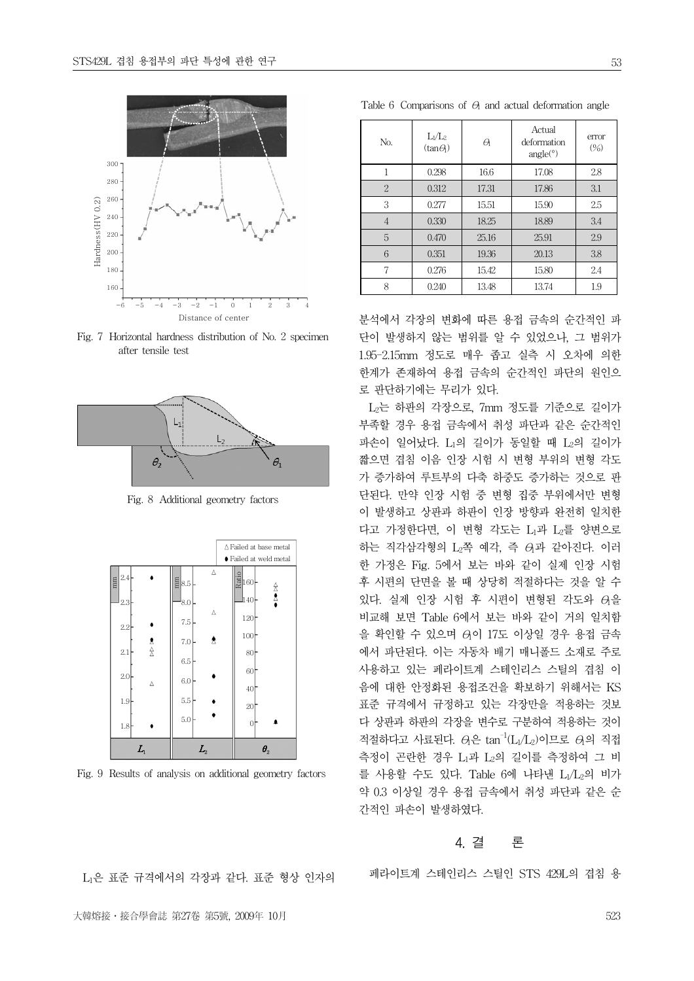

Fig. 7 Horizontal hardness distribution of No. 2 specimen after tensile test



Fig. 8 Additional geometry factors



Fig. 9 Results of analysis on additional geometry factors

| No.            | $L_1/L_2$<br>$(tan\theta)$ | a     | Actual<br>deformation<br>angle <sup>°</sup> | error<br>(%) |
|----------------|----------------------------|-------|---------------------------------------------|--------------|
| 1              | 0.298                      | 16.6  | 17.08                                       | 2.8          |
| $\overline{2}$ | 0.312                      | 17.31 | 17.86                                       | 3.1          |
| 3              | 0.277                      | 15.51 | 15.90                                       | 2.5          |
| 4              | 0.330                      | 18.25 | 18.89                                       | 3.4          |
| 5              | 0.470                      | 25.16 | 25.91                                       | 2.9          |
| 6              | 0.351                      | 19.36 | 20.13                                       | 3.8          |
| 7              | 0.276                      | 15.42 | 15.80                                       | 2.4          |
| 8              | 0.240                      | 13.48 | 13.74                                       | 1.9          |

Table 6 Comparisons of  $\Theta$  and actual deformation angle

분석에서 각장의 변화에 따른 용접 금속의 순간적인 파 단이 발생하지 않는 범위를 알 수 있었으나, 그 범위가 1.95-2.15mm 정도로 매우 좁고 실측 시 오차에 의한 한계가 존재하여 용접 금속의 순간적인 파단의 원인으 로 판단하기에는 무리가 있다.

L2는 하판의 각장으로, 7mm 정도를 기준으로 길이가 부족할 경우 용접 금속에서 취성 파단과 같은 순간적인 파손이 일어났다. L1의 길이가 동일할 때 L2의 길이가 짧으면 겹침 이음 인장 시험 시 변형 부위의 변형 각도 가 증가하여 루트부의 다축 하중도 증가하는 것으로 판 단된다. 만약 인장 시험 중 변형 집중 부위에서만 변형 이 발생하고 상판과 하판이 인장 방향과 완전히 일치한 다고 가정한다면, 이 변형 각도는 L1과 L2를 양변으로 하는 직각삼각형의 L2쪽 예각, 즉 θ1과 같아진다. 이러 한 가정은 Fig. 5에서 보는 바와 같이 실제 인장 시험 후 시편의 단면을 볼 때 상당히 적절하다는 것을 알 수 있다. 실제 인장 시험 후 시편이 변형된 각도와 θ1을 비교해 보면 Table 6에서 보는 바와 같이 거의 일치함 을 확인할 수 있으며 θ1이 17도 이상일 경우 용접 금속 에서 파단된다. 이는 자동차 배기 매니폴드 소재로 주로 사용하고 있는 페라이트계 스테인리스 스틸의 겹침 이 음에 대한 안정화된 용접조건을 확보하기 위해서는 KS 표준 규격에서 규정하고 있는 각장만을 적용하는 것보 다 상판과 하판의 각장을 변수로 구분하여 적용하는 것이 적절하다고 사료된다.  $\theta$ 은 tan<sup>-1</sup>(L<sub>1</sub>/L<sub>2</sub>)이므로  $\theta$ 의 직접 측정이 곤란한 경우 L1과 L2의 길이를 측정하여 그 비 를 사용할 수도 있다. Table 6에 나타낸 L1/L2의 비가 약 0.3 이상일 경우 용접 금속에서 취성 파단과 같은 순 간적인 파손이 발생하였다.

## 4. 결 론

페라이트계 스테인리스 스틸인 STS 429L의 겹침 용

L1은 표준 규격에서의 각장과 같다. 표준 형상 인자의